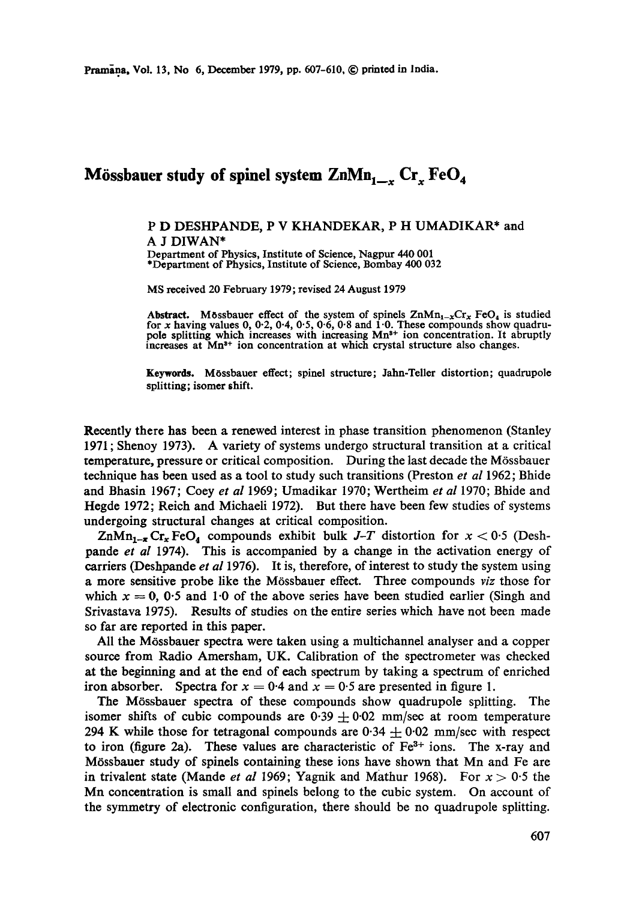## Mössbauer study of spinel system ZnMn<sub>1, c</sub> Cr<sub>x</sub> FeO<sub>4</sub>

## P D DESHPANDE, P V KHANDEKAR, P H UMADIKAR\* and A J DIWAN\*

Department of Physics, Institute of Science, Nagpur 440 001 \*Department of Physics, Institute of Science, Bombay 400 032

MS received 20 February 1979; revised 24 August 1979

Abstract. Mossbauer effect of the system of spinels  $\text{ZnMn}_{1-x}\text{Cr}_x$  FeO<sub>4</sub> is studied for x having values 0, 0.2, 0.4, 0.5, 0.6, 0.8 and 1.0. These compounds show quadrupole splitting which increases with increasing Mn<sup>3+</sup> ion concentration. It abruptly increases at  $Mn^{3+}$  ion concentration at which crystal structure also changes.

Keywords. M6ssbauer effect; spinel structure; Jahn-Teller distortion; quadrupole splitting; isomer shift.

Recently there has been a renewed interest in phase transition phenomenon (Stanley 1971 ; Shenoy 1973). A variety of systems undergo structural transition at a critical temperature, pressure or critical composition. During the last decade the M6ssbauer technique has been used as a tool to study such transitions (Preston *et al* 1962; Bhide and Bhasin 1967; Coey *et al* 1969; Umadikar 1970; Wertheim *et al* 1970; Bhide and Hegde 1972; Reich and Michaeli 1972). But there have been few studies of systems undergoing structural changes at critical composition.

 $\text{ZnMn}_{1-x}$  Cr<sub>x</sub> FeO<sub>4</sub> compounds exhibit bulk *J-T* distortion for  $x < 0.5$  (Deshpande *et al* 1974). This is accompanied by a change in the activation energy of carriers (Deshpande *et al* 1976). It is, therefore, of interest to study the system using a more sensitive probe like the M6ssbauer effect. Three compounds *viz* those for which  $x = 0$ , 0.5 and 1.0 of the above series have been studied earlier (Singh and Srivastava 1975). Results of studies on the entire series which have not been made so fax are reported in this paper.

All the M6ssbauer spectra were taken using a multichannel analyser and a copper source from Radio Amersham, UK. Calibration of the spectrometer was checked at the beginning and at the end of each spectrum by taking a spectrum of enriched iron absorber. Spectra for  $x = 0.4$  and  $x = 0.5$  are presented in figure 1.

The M6ssbauer spectra of these compounds show quadrupole splitting. The isomer shifts of cubic compounds are 0.39  $\pm$  0.02 mm/sec at room temperature 294 K while those for tetragonal compounds are  $0.34 \pm 0.02$  mm/sec with respect to iron (figure 2a). These values are characteristic of  $Fe<sup>3+</sup>$  ions. The x-ray and M6ssbauer study of spinels containing these ions have shown that Mn and Fe are in trivalent state (Mande *et al* 1969; Yagnik and Mathur 1968). For  $x > 0.5$  the Mn concentration is small and spinels belong to the cubic system. On account of the symmetry of electronic configuration, there should be no quadrupole splitting.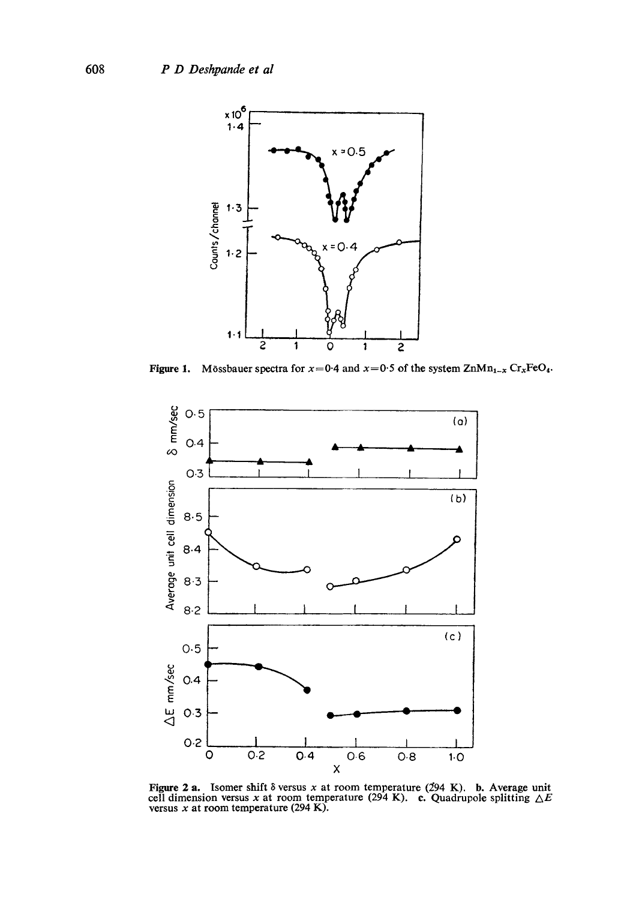

**Figure 1.** Mössbauer spectra for  $x=0.4$  and  $x=0.5$  of the system  $\text{ZnMn}_{1-x}$  Cr<sub>x</sub>FeO<sub>4</sub>.



Figure 2 a. Isomer shift  $\delta$  versus x at room temperature (294 K). b. Average unit cell dimension versus x at room temperature (294 K). c. Quadrupole splitting  $\Delta E$ versus  $x$  at room temperature (294 K).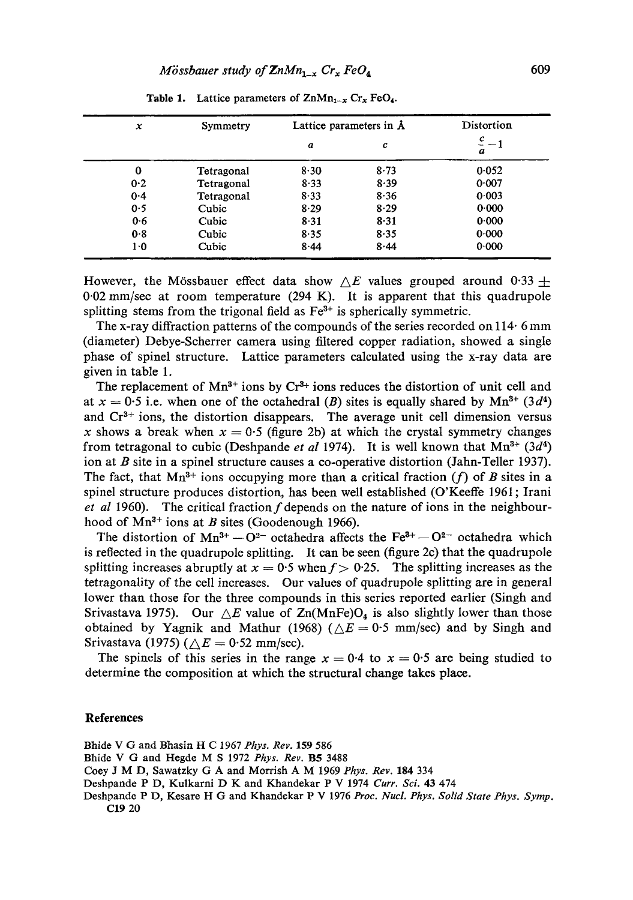| x   | Symmetry   | Lattice parameters in $\Lambda$ |          | Distortion          |
|-----|------------|---------------------------------|----------|---------------------|
|     |            | a                               | с        | $\frac{c}{-1}$<br>a |
| 0   | Tetragonal | $8 - 30$                        | 8.73     | 0.052               |
| 0.2 | Tetragonal | $8 - 33$                        | 8.39     | 0.007               |
| 0.4 | Tetragonal | $8 - 33$                        | 8.36     | 0.003               |
| 0.5 | Cubic      | $8 - 29$                        | 8.29     | 0.000               |
| 0.6 | Cubic      | 8.31                            | $8 - 31$ | 0.000               |
| 0.8 | Cubic      | 8.35                            | 8.35     | 0.000               |
| 1·0 | Cubic      | $8 - 44$                        | 8.44     | 0.000               |

Table 1. Lattice parameters of  $\text{ZnMn}_{1-x}$  Cr<sub>x</sub> FeO<sub>4</sub>.

However, the Mössbauer effect data show  $\Delta E$  values grouped around 0.33  $\pm$ 0-02 mm/see at room temperature (294 K). It is apparent that this quadrupole splitting stems from the trigonal field as  $Fe<sup>3+</sup>$  is spherically symmetric.

The x-ray diffraction patterns of the compounds of the series recorded on 114. 6 mm (diameter) Debye-Scherrer camera using filtered copper radiation, showed a single phase of spinel structure. Lattice parameters calculated using the x-ray data are given in table 1.

The replacement of  $Mn^{3+}$  ions by  $Cr^{3+}$  ions reduces the distortion of unit cell and at  $x = 0.5$  i.e. when one of the octahedral (B) sites is equally shared by  $Mn^{3+}$  (3d<sup>4</sup>) and  $Cr<sup>3+</sup>$  ions, the distortion disappears. The average unit cell dimension versus x shows a break when  $x = 0.5$  (figure 2b) at which the crystal symmetry changes from tetragonal to cubic (Deshpande *et al* 1974). It is well known that  $Mn^{3+}$  (3*d*<sup>4</sup>) ion at B site in a spinel structure causes a co-operative distortion (Jahn-Teller 1937). The fact, that  $Mn^{3+}$  ions occupying more than a critical fraction (f) of B sites in a spinel structure produces distortion, has been well established (O'Keeffe 1961; Irani *et al* 1960). The critical fraction f depends on the nature of ions in the neighbourhood of  $Mn^{3+}$  ions at B sites (Goodenough 1966).

The distortion of  $Mn^{3+} - O^{2-}$  octahedra affects the Fe<sup>3+</sup> -  $O^{2-}$  octahedra which is reflected in the quadrupole splitting. It can be seen (figure 2c) that the quadrupole splitting increases abruptly at  $x = 0.5$  when  $f > 0.25$ . The splitting increases as the tetragonality of the cell increases. Our values of quadrupole splitting are in general lower than those for the three compounds in this series reported earlier (Singh and Srivastava 1975). Our  $\Delta E$  value of  $\text{Zn}(MnFe)O_4$  is also slightly lower than those obtained by Yagnik and Mathur (1968) ( $\triangle E = 0.5$  mm/sec) and by Singh and Srivastava (1975) ( $\triangle E = 0.52$  mm/sec).

The spinels of this series in the range  $x = 0.4$  to  $x = 0.5$  are being studied to determine the composition at which the structural change takes place.

## **References**

Bhide V G and Bhasin H C 1967 *Phys. Rev.* 159 586

Bhide V G and Hegde M S 1972 *Phys. Rev.* B5 3488

Coey J M D, Sawatzky G A and Morrish A M 1969 *Phys. Rev.* 184 334

Deshpande P D, Kulkarni D K and Khandekar P V 1974 Curr. Sci. 43 474

Deshpande P D, Kesare H G and Khandekar P V 1976 *Proc. Nucl. Phys. Solid State Phys. Symp.*  C19 20